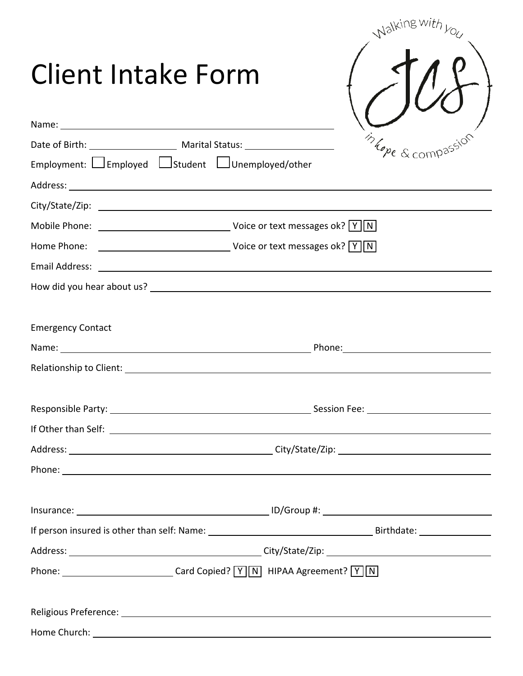|                                   |                                                                                  | Walking w,                                                                                                                                                                                                                    |
|-----------------------------------|----------------------------------------------------------------------------------|-------------------------------------------------------------------------------------------------------------------------------------------------------------------------------------------------------------------------------|
| Client Intake Form<br>Name: Name: |                                                                                  |                                                                                                                                                                                                                               |
|                                   |                                                                                  | in hom                                                                                                                                                                                                                        |
|                                   | Employment: Employed Estudent EUnemployed/other                                  |                                                                                                                                                                                                                               |
|                                   |                                                                                  |                                                                                                                                                                                                                               |
|                                   |                                                                                  |                                                                                                                                                                                                                               |
|                                   |                                                                                  |                                                                                                                                                                                                                               |
|                                   |                                                                                  |                                                                                                                                                                                                                               |
|                                   |                                                                                  |                                                                                                                                                                                                                               |
|                                   |                                                                                  |                                                                                                                                                                                                                               |
|                                   |                                                                                  |                                                                                                                                                                                                                               |
| <b>Emergency Contact</b>          |                                                                                  |                                                                                                                                                                                                                               |
|                                   |                                                                                  | Name: Name: Name: Name: Name: Name: Name: Name: Name: Name: Name: Name: Name: Name: Name: Name: Name: Name: Name: Name: Name: Name: Name: Name: Name: Name: Name: Name: Name: Name: Name: Name: Name: Name: Name: Name: Name: |
|                                   |                                                                                  |                                                                                                                                                                                                                               |
|                                   |                                                                                  |                                                                                                                                                                                                                               |
|                                   |                                                                                  |                                                                                                                                                                                                                               |
|                                   |                                                                                  |                                                                                                                                                                                                                               |
|                                   |                                                                                  | Phone: <u>New York: All and September 2008</u>                                                                                                                                                                                |
|                                   |                                                                                  |                                                                                                                                                                                                                               |
|                                   |                                                                                  |                                                                                                                                                                                                                               |
|                                   |                                                                                  |                                                                                                                                                                                                                               |
|                                   | Phone: ______________________________Card Copied? [Y] N] HIPAA Agreement? [Y] N] |                                                                                                                                                                                                                               |
|                                   |                                                                                  | Religious Preference: Law and the contract of the contract of the contract of the contract of the contract of                                                                                                                 |
|                                   |                                                                                  |                                                                                                                                                                                                                               |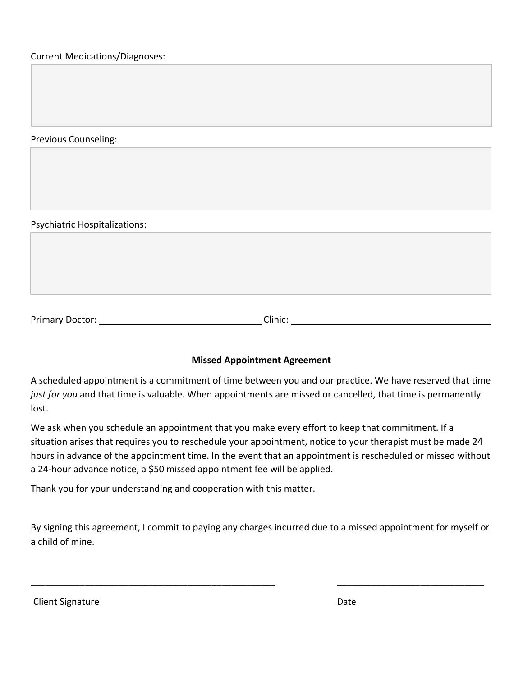Current Medications/Diagnoses:

Previous Counseling:

Psychiatric Hospitalizations:

Primary Doctor: Clinic: Clinic: Clinic: Clinic: Clinic: Clinic: Clinic: Clinic: Clinic: Clinic: Clinic: Clinic: Clinic: Clinic: Clinic: Clinic: Clinic: Clinic: Clinic: Clinic: Clinic: Clinic: Clinic: Clinic: Clinic: Clinic

## **Missed Appointment Agreement**

A scheduled appointment is a commitment of time between you and our practice. We have reserved that time *just for you* and that time is valuable. When appointments are missed or cancelled, that time is permanently lost.

We ask when you schedule an appointment that you make every effort to keep that commitment. If a situation arises that requires you to reschedule your appointment, notice to your therapist must be made 24 hours in advance of the appointment time. In the event that an appointment is rescheduled or missed without a 24-hour advance notice, a \$50 missed appointment fee will be applied.

Thank you for your understanding and cooperation with this matter.

By signing this agreement, I commit to paying any charges incurred due to a missed appointment for myself or a child of mine.

\_\_\_\_\_\_\_\_\_\_\_\_\_\_\_\_\_\_\_\_\_\_\_\_\_\_\_\_\_\_\_\_\_\_\_\_\_\_\_\_\_\_\_\_\_\_\_\_\_\_ \_\_\_\_\_\_\_\_\_\_\_\_\_\_\_\_\_\_\_\_\_\_\_\_\_\_\_\_\_\_

Client Signature Date Date of the United States of the United States of the Date Date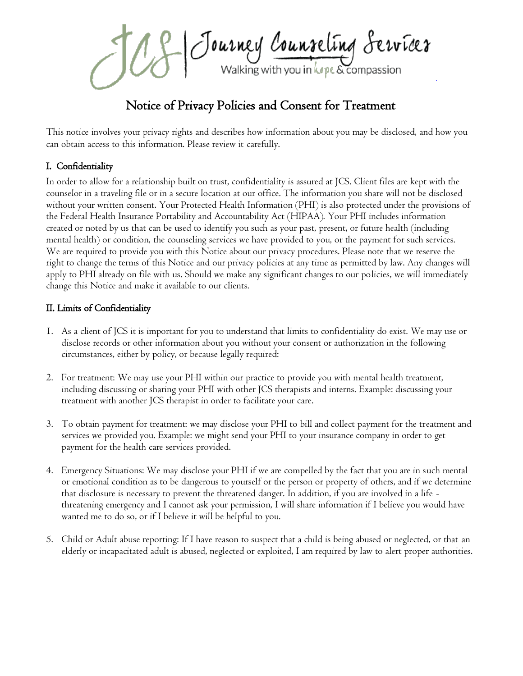Journey Counseling Services

# Notice of Privacy Policies and Consent for Treatment

This notice involves your privacy rights and describes how information about you may be disclosed, and how you can obtain access to this information. Please review it carefully.

## I. Confidentiality

In order to allow for a relationship built on trust, confidentiality is assured at JCS. Client files are kept with the counselor in a traveling file or in a secure location at our office. The information you share will not be disclosed without your written consent. Your Protected Health Information (PHI) is also protected under the provisions of the Federal Health Insurance Portability and Accountability Act (HIPAA). Your PHI includes information created or noted by us that can be used to identify you such as your past, present, or future health (including mental health) or condition, the counseling services we have provided to you, or the payment for such services. We are required to provide you with this Notice about our privacy procedures. Please note that we reserve the right to change the terms of this Notice and our privacy policies at any time as permitted by law. Any changes will apply to PHI already on file with us. Should we make any significant changes to our policies, we will immediately change this Notice and make it available to our clients.

## II. Limits of Confidentiality

- 1. As a client of JCS it is important for you to understand that limits to confidentiality do exist. We may use or disclose records or other information about you without your consent or authorization in the following circumstances, either by policy, or because legally required:
- 2. For treatment: We may use your PHI within our practice to provide you with mental health treatment, including discussing or sharing your PHI with other JCS therapists and interns. Example: discussing your treatment with another JCS therapist in order to facilitate your care.
- 3. To obtain payment for treatment: we may disclose your PHI to bill and collect payment for the treatment and services we provided you. Example: we might send your PHI to your insurance company in order to get payment for the health care services provided.
- 4. Emergency Situations: We may disclose your PHI if we are compelled by the fact that you are in such mental or emotional condition as to be dangerous to yourself or the person or property of others, and if we determine that disclosure is necessary to prevent the threatened danger. In addition, if you are involved in a life threatening emergency and I cannot ask your permission, I will share information if I believe you would have wanted me to do so, or if I believe it will be helpful to you.
- 5. Child or Adult abuse reporting: If I have reason to suspect that a child is being abused or neglected, or that an elderly or incapacitated adult is abused, neglected or exploited, I am required by law to alert proper authorities.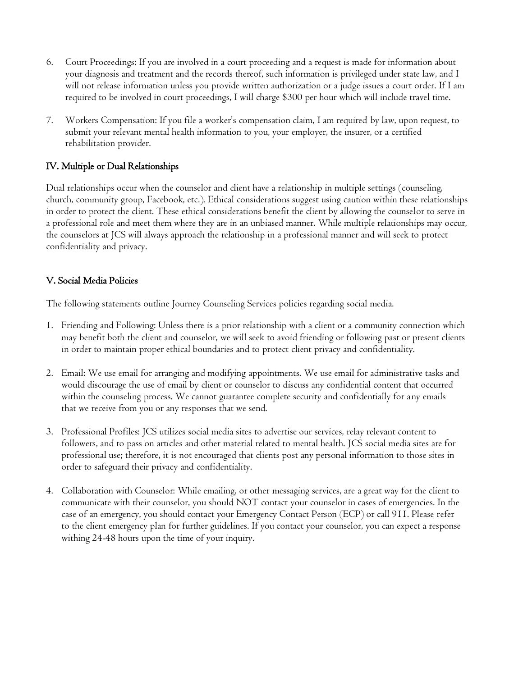- 6. Court Proceedings: If you are involved in a court proceeding and a request is made for information about your diagnosis and treatment and the records thereof, such information is privileged under state law, and I will not release information unless you provide written authorization or a judge issues a court order. If I am required to be involved in court proceedings, I will charge \$300 per hour which will include travel time.
- 7. Workers Compensation: If you file a worker's compensation claim, I am required by law, upon request, to submit your relevant mental health information to you, your employer, the insurer, or a certified rehabilitation provider.

## IV. Multiple or Dual Relationships

Dual relationships occur when the counselor and client have a relationship in multiple settings (counseling, church, community group, Facebook, etc.). Ethical considerations suggest using caution within these relationships in order to protect the client. These ethical considerations benefit the client by allowing the counselor to serve in a professional role and meet them where they are in an unbiased manner. While multiple relationships may occur, the counselors at JCS will always approach the relationship in a professional manner and will seek to protect confidentiality and privacy.

## V. Social Media Policies

The following statements outline Journey Counseling Services policies regarding social media.

- 1. Friending and Following: Unless there is a prior relationship with a client or a community connection which may benefit both the client and counselor, we will seek to avoid friending or following past or present clients in order to maintain proper ethical boundaries and to protect client privacy and confidentiality.
- 2. Email: We use email for arranging and modifying appointments. We use email for administrative tasks and would discourage the use of email by client or counselor to discuss any confidential content that occurred within the counseling process. We cannot guarantee complete security and confidentially for any emails that we receive from you or any responses that we send.
- 3. Professional Profiles: JCS utilizes social media sites to advertise our services, relay relevant content to followers, and to pass on articles and other material related to mental health. JCS social media sites are for professional use; therefore, it is not encouraged that clients post any personal information to those sites in order to safeguard their privacy and confidentiality.
- 4. Collaboration with Counselor: While emailing, or other messaging services, are a great way for the client to communicate with their counselor, you should NOT contact your counselor in cases of emergencies. In the case of an emergency, you should contact your Emergency Contact Person (ECP) or call 911. Please refer to the client emergency plan for further guidelines. If you contact your counselor, you can expect a response withing 24-48 hours upon the time of your inquiry.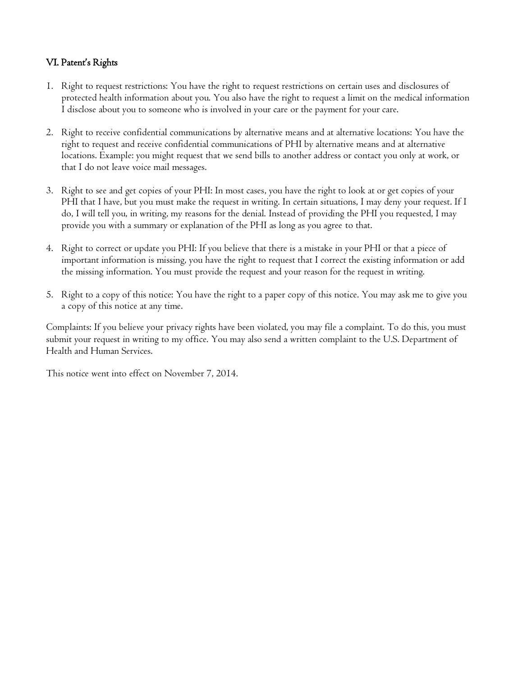## VI. Patent's Rights

- 1. Right to request restrictions: You have the right to request restrictions on certain uses and disclosures of protected health information about you. You also have the right to request a limit on the medical information I disclose about you to someone who is involved in your care or the payment for your care.
- 2. Right to receive confidential communications by alternative means and at alternative locations: You have the right to request and receive confidential communications of PHI by alternative means and at alternative locations. Example: you might request that we send bills to another address or contact you only at work, or that I do not leave voice mail messages.
- 3. Right to see and get copies of your PHI: In most cases, you have the right to look at or get copies of your PHI that I have, but you must make the request in writing. In certain situations, I may deny your request. If I do, I will tell you, in writing, my reasons for the denial. Instead of providing the PHI you requested, I may provide you with a summary or explanation of the PHI as long as you agree to that.
- 4. Right to correct or update you PHI: If you believe that there is a mistake in your PHI or that a piece of important information is missing, you have the right to request that I correct the existing information or add the missing information. You must provide the request and your reason for the request in writing.
- 5. Right to a copy of this notice: You have the right to a paper copy of this notice. You may ask me to give you a copy of this notice at any time.

Complaints: If you believe your privacy rights have been violated, you may file a complaint. To do this, you must submit your request in writing to my office. You may also send a written complaint to the U.S. Department of Health and Human Services.

This notice went into effect on November 7, 2014.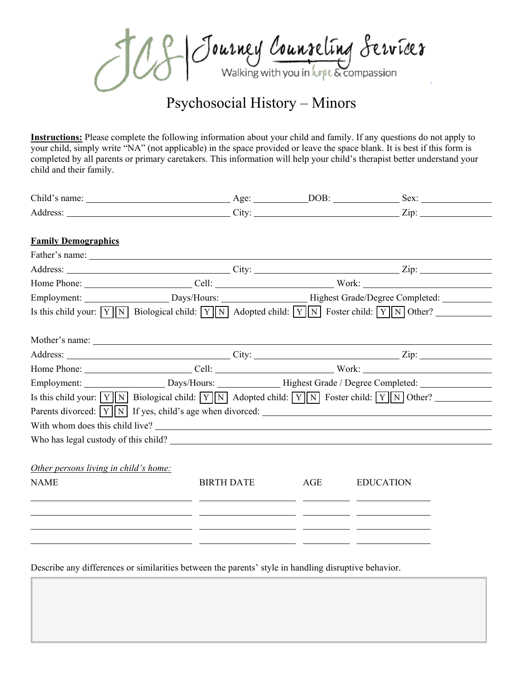Jeff Journey Counseling Services

# Psychosocial History – Minors

**Instructions:** Please complete the following information about your child and family. If any questions do not apply to your child, simply write "NA" (not applicable) in the space provided or leave the space blank. It is best if this form is completed by all parents or primary caretakers. This information will help your child's therapist better understand your child and their family.

| Child's name: $\qquad \qquad \qquad \text{Age:} \qquad \qquad \text{DOB:} \qquad \qquad \text{Sex:}$                              |                                                                                                                       |     |                  |
|-----------------------------------------------------------------------------------------------------------------------------------|-----------------------------------------------------------------------------------------------------------------------|-----|------------------|
|                                                                                                                                   |                                                                                                                       |     |                  |
| <b>Family Demographics</b>                                                                                                        |                                                                                                                       |     |                  |
|                                                                                                                                   |                                                                                                                       |     |                  |
|                                                                                                                                   |                                                                                                                       |     |                  |
|                                                                                                                                   |                                                                                                                       |     |                  |
| Employment: __________________________Days/Hours: ______________________Highest Grade/Degree Completed: ____________              |                                                                                                                       |     |                  |
| Is this child your: $\boxed{Y}$ N Biological child: $\boxed{Y}$ N Adopted child: $\boxed{Y}$ N Foster child: $\boxed{Y}$ N Other? |                                                                                                                       |     |                  |
|                                                                                                                                   |                                                                                                                       |     |                  |
|                                                                                                                                   |                                                                                                                       |     |                  |
|                                                                                                                                   |                                                                                                                       |     |                  |
|                                                                                                                                   |                                                                                                                       |     |                  |
| Employment: ________________________Days/Hours: _______________Highest Grade / Degree Completed: _____________                    |                                                                                                                       |     |                  |
| Is this child your: $\boxed{Y}$ N Biological child: $\boxed{Y}$ N Adopted child: $\boxed{Y}$ N Foster child: $\boxed{Y}$ N Other? |                                                                                                                       |     |                  |
|                                                                                                                                   |                                                                                                                       |     |                  |
| With whom does this child live?                                                                                                   |                                                                                                                       |     |                  |
|                                                                                                                                   |                                                                                                                       |     |                  |
|                                                                                                                                   |                                                                                                                       |     |                  |
| Other persons living in child's home:                                                                                             |                                                                                                                       |     |                  |
| <b>NAME</b>                                                                                                                       | <b>BIRTH DATE</b>                                                                                                     | AGE | <b>EDUCATION</b> |
|                                                                                                                                   |                                                                                                                       |     |                  |
|                                                                                                                                   | <u> 1990 - Jan James James Jan James James James James James James James James James James James James James Jam</u>  |     |                  |
| <u> 1990 - Jan Sarajević, politički politički politički kalendar († 1900)</u>                                                     |                                                                                                                       |     |                  |
|                                                                                                                                   | <u> 1999 - John Stein, mars and de format de la provincia de la provincia de la provincia de la provincia de la p</u> |     |                  |
|                                                                                                                                   |                                                                                                                       |     |                  |

Describe any differences or similarities between the parents' style in handling disruptive behavior.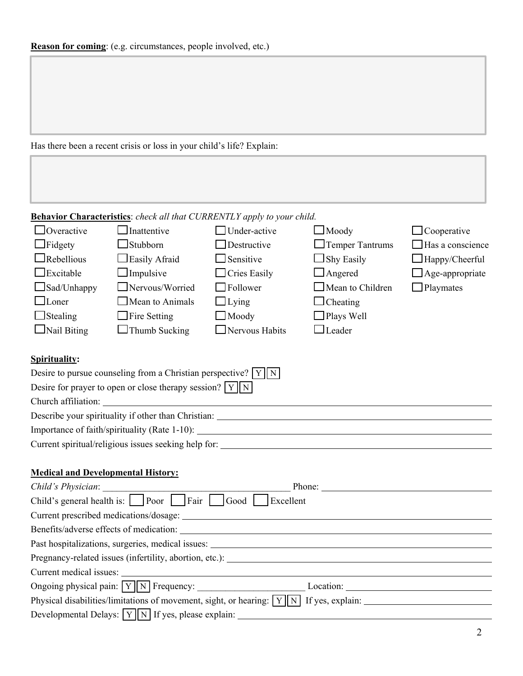Has there been a recent crisis or loss in your child's life? Explain:

## **Behavior Characteristics**: *check all that CURRENTLY apply to your child.*

| $\Box$ Overactive  | $\Box$ Inattentive     | $\Box$ Under-active   | $\Box$ Moody            | $\Box$ Cooperative      |
|--------------------|------------------------|-----------------------|-------------------------|-------------------------|
| $\Box$ Fidgety     | $\Box$ Stubborn        | $\Box$ Destructive    | $\Box$ Temper Tantrums  | $\Box$ Has a conscience |
| $\Box$ Rebellious  | $\Box$ Easily Afraid   | $\Box$ Sensitive      | $\Box$ Shy Easily       | $\Box$ Happy/Cheerful   |
| $\Box$ Excitable   | $\Box$ Impulsive       | $\Box$ Cries Easily   | $\Box$ Angered          | $\Box$ Age-appropriate  |
| $\Box$ Sad/Unhappy | $\Box$ Nervous/Worried | $\Box$ Follower       | $\Box$ Mean to Children | $\Box$ Playmates        |
| $\Box$ Loner       | $\Box$ Mean to Animals | $\Box$ Lying          | $\Box$ Cheating         |                         |
| $\Box$ Stealing    | $\Box$ Fire Setting    | $\Box$ Moody          | $\Box$ Plays Well       |                         |
| $\Box$ Nail Biting | $\Box$ Thumb Sucking   | $\Box$ Nervous Habits | $\Box$ Leader           |                         |
|                    |                        |                       |                         |                         |

## **Spirituality:**

| Desire to pursue counseling from a Christian perspective? $\boxed{Y}$ $\boxed{N}$ |  |
|-----------------------------------------------------------------------------------|--|
| Desire for prayer to open or close therapy session? $\boxed{Y \boxed{N}}$         |  |
| Church affiliation:                                                               |  |
| Describe your spirituality if other than Christian:                               |  |
| Importance of faith/spirituality (Rate 1-10):                                     |  |
| Current spiritual/religious issues seeking help for:                              |  |

## **Medical and Developmental History:**

|                                                                                                            | Phone: |  |
|------------------------------------------------------------------------------------------------------------|--------|--|
| Child's general health is: $\Box$ Poor $\Box$ Fair $\Box$ Good $\Box$ Excellent                            |        |  |
|                                                                                                            |        |  |
|                                                                                                            |        |  |
| Past hospitalizations, surgeries, medical issues:                                                          |        |  |
| Pregnancy-related issues (infertility, abortion, etc.):                                                    |        |  |
| Current medical issues:                                                                                    |        |  |
| Ongoing physical pain: $\boxed{Y}$ $\boxed{N}$ Frequency:                                                  |        |  |
| Physical disabilities/limitations of movement, sight, or hearing: $\boxed{Y}$ $\boxed{N}$ If yes, explain: |        |  |
|                                                                                                            |        |  |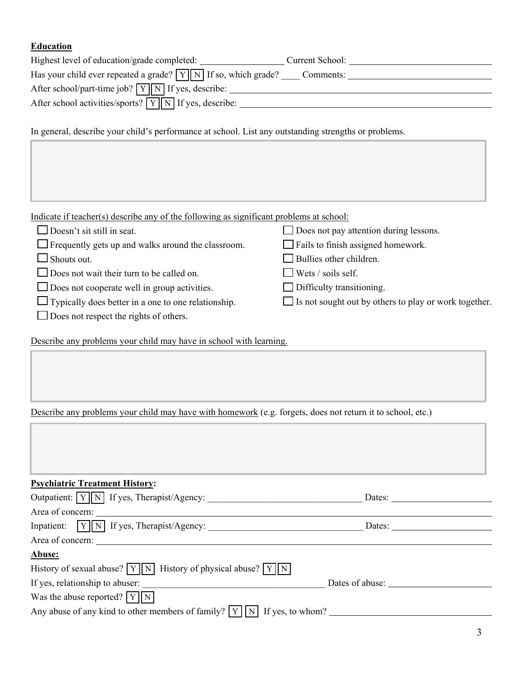#### **Education**

| Highest level of education/grade completed:                                       | Current School: |
|-----------------------------------------------------------------------------------|-----------------|
| Has your child ever repeated a grade? $\boxed{Y}$ $\boxed{N}$ If so, which grade? | Comments:       |
| After school/part-time job? $\boxed{Y}$ $\boxed{N}$ If yes, describe:             |                 |
| After school activities/sports? $\boxed{Y}$ $\boxed{N}$ If yes, describe:         |                 |
|                                                                                   |                 |

In general, describe your child's performance at school. List any outstanding strengths or problems.

Indicate if teacher(s) describe any of the following as significant problems at school:

| $\Box$ Doesn't sit still in seat.                          | $\Box$ Does not pay attention during lessons.                |
|------------------------------------------------------------|--------------------------------------------------------------|
| $\Box$ Frequently gets up and walks around the classroom.  | $\Box$ Fails to finish assigned homework.                    |
| $\Box$ Shouts out.                                         | $\Box$ Bullies other children.                               |
| $\Box$ Does not wait their turn to be called on.           | $\Box$ Wets / soils self.                                    |
| $\Box$ Does not cooperate well in group activities.        | $\Box$ Difficulty transitioning.                             |
| $\Box$ Typically does better in a one to one relationship. | $\Box$ Is not sought out by others to play or work together. |
| $\Box$ Does not respect the rights of others.              |                                                              |

Describe any problems your child may have in school with learning.

Describe any problems your child may have with homework (e.g. forgets, does not return it to school, etc.)

#### **Psychiatric Treatment History:**

| Outpatient: V N If yes, Therapist/Agency:                                   | Dates:          |
|-----------------------------------------------------------------------------|-----------------|
| Area of concern:                                                            |                 |
| Inpatient: $\boxed{Y}$ If yes, Therapist/Agency:                            | Dates:          |
| Area of concern:<br><u> 1989 - John Stein, Amerikaansk politiker (</u>      |                 |
| Abuse:                                                                      |                 |
| History of sexual abuse? $Y  N $ History of physical abuse? $Y  N $         |                 |
| If yes, relationship to abuser:                                             | Dates of abuse: |
| Was the abuse reported? $Y \parallel N$                                     |                 |
| Any abuse of any kind to other members of family? $ Y  N $ If yes, to whom? |                 |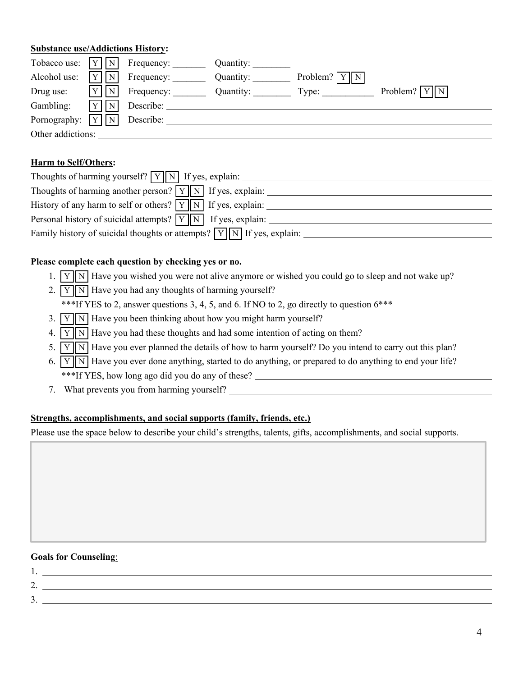#### **Substance use/Addictions History:**

|                                                |         | Tobacco use: $\boxed{Y}$ $\boxed{N}$ Frequency: | Quantity: |                  |                                  |
|------------------------------------------------|---------|-------------------------------------------------|-----------|------------------|----------------------------------|
| Alcohol use:                                   | N       | Frequency:                                      | Quantity: | Problem? $Y  N $ |                                  |
| Drug use:                                      | N       | Frequency:                                      | Quantity: | Type:            | Problem? $\boxed{Y \parallel N}$ |
| Gambling:                                      | $ Y $ N | Describe:                                       |           |                  |                                  |
| Pornography: $\boxed{Y}$ $\boxed{N}$ Describe: |         |                                                 |           |                  |                                  |
| Other addictions:                              |         |                                                 |           |                  |                                  |

#### **Harm to Self/Others:**

| Thoughts of harming yourself? $\boxed{Y}$ $\boxed{N}$ If yes, explain:                    |
|-------------------------------------------------------------------------------------------|
| Thoughts of harming another person? $\boxed{Y}$ $\boxed{N}$ If yes, explain:              |
| History of any harm to self or others? $\boxed{Y \boxed{N}}$ If yes, explain:             |
| Personal history of suicidal attempts? $\boxed{Y}$ $\boxed{N}$ If yes, explain:           |
| Family history of suicidal thoughts or attempts? $\boxed{Y}$ $\boxed{N}$ If yes, explain: |

#### **Please complete each question by checking yes or no.**

- 1.  $\boxed{Y}$  Have you wished you were not alive anymore or wished you could go to sleep and not wake up?
- 2.  $\boxed{Y}$  N Have you had any thoughts of harming yourself? \*\*\*If YES to 2, answer questions 3, 4, 5, and 6. If NO to 2, go directly to question  $6***$
- 3.  $Y \mid N$  Have you been thinking about how you might harm yourself?
- 4.  $\boxed{Y}$  N Have you had these thoughts and had some intention of acting on them?
- 5.  $\boxed{Y}$  Have you ever planned the details of how to harm yourself? Do you intend to carry out this plan?
- 6.  $\boxed{Y}$  N Have you ever done anything, started to do anything, or prepared to do anything to end your life? \*\*\*If YES, how long ago did you do any of these?
- 7. What prevents you from harming yourself?

#### **Strengths, accomplishments, and social supports (family, friends, etc.)**

Please use the space below to describe your child's strengths, talents, gifts, accomplishments, and social supports.

#### **Goals for Counseling**:

| <u>L.</u> |  |
|-----------|--|
| . ب       |  |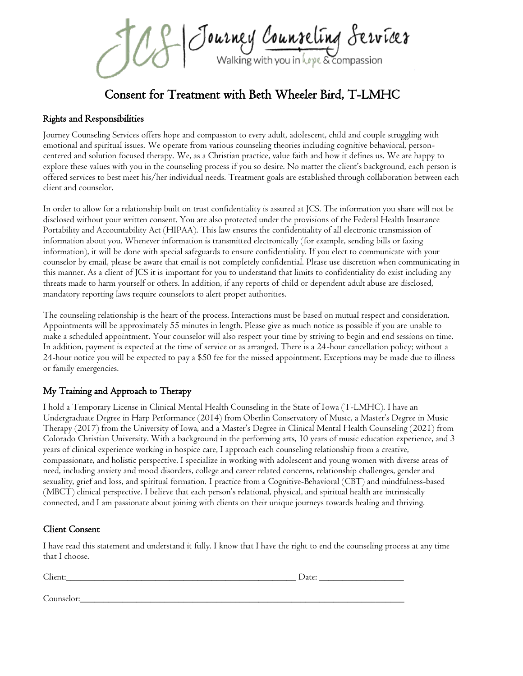Journey Counseling Servicer

Consent for Treatment with Beth Wheeler Bird, T-LMHC

## Rights and Responsibilities

Journey Counseling Services offers hope and compassion to every adult, adolescent, child and couple struggling with emotional and spiritual issues. We operate from various counseling theories including cognitive behavioral, personcentered and solution focused therapy. We, as a Christian practice, value faith and how it defines us. We are happy to explore these values with you in the counseling process if you so desire. No matter the client's background, each person is offered services to best meet his/her individual needs. Treatment goals are established through collaboration between each client and counselor.

In order to allow for a relationship built on trust confidentiality is assured at JCS. The information you share will not be disclosed without your written consent. You are also protected under the provisions of the Federal Health Insurance Portability and Accountability Act (HIPAA). This law ensures the confidentiality of all electronic transmission of information about you. Whenever information is transmitted electronically (for example, sending bills or faxing information), it will be done with special safeguards to ensure confidentiality. If you elect to communicate with your counselor by email, please be aware that email is not completely confidential. Please use discretion when communicating in this manner. As a client of JCS it is important for you to understand that limits to confidentiality do exist including any threats made to harm yourself or others. In addition, if any reports of child or dependent adult abuse are disclosed, mandatory reporting laws require counselors to alert proper authorities.

The counseling relationship is the heart of the process. Interactions must be based on mutual respect and consideration. Appointments will be approximately 55 minutes in length. Please give as much notice as possible if you are unable to make a scheduled appointment. Your counselor will also respect your time by striving to begin and end sessions on time. In addition, payment is expected at the time of service or as arranged. There is a 24-hour cancellation policy; without a 24-hour notice you will be expected to pay a \$50 fee for the missed appointment. Exceptions may be made due to illness or family emergencies.

## My Training and Approach to Therapy

I hold a Temporary License in Clinical Mental Health Counseling in the State of Iowa (T-LMHC). I have an Undergraduate Degree in Harp Performance (2014) from Oberlin Conservatory of Music, a Master's Degree in Music Therapy (2017) from the University of Iowa, and a Master's Degree in Clinical Mental Health Counseling (2021) from Colorado Christian University. With a background in the performing arts, 10 years of music education experience, and 3 years of clinical experience working in hospice care, I approach each counseling relationship from a creative, compassionate, and holistic perspective. I specialize in working with adolescent and young women with diverse areas of need, including anxiety and mood disorders, college and career related concerns, relationship challenges, gender and sexuality, grief and loss, and spiritual formation. I practice from a Cognitive-Behavioral (CBT) and mindfulness-based (MBCT) clinical perspective. I believe that each person's relational, physical, and spiritual health are intrinsically connected, and I am passionate about joining with clients on their unique journeys towards healing and thriving.

## Client Consent

I have read this statement and understand it fully. I know that I have the right to end the counseling process at any time that I choose.

| Client:    | Date: |
|------------|-------|
|            |       |
| Counselor: |       |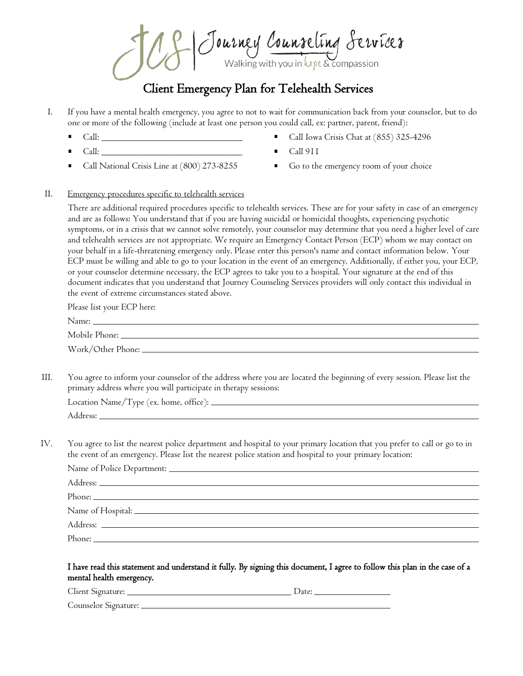Journey Courseling Servicer

## Client Emergency Plan for Telehealth Services

- I. If you have a mental health emergency, you agree to not to wait for communication back from your counselor, but to do one or more of the following (include at least one person you could call, ex: partner, parent, friend):
	- $Call:$   $\qquad \qquad \qquad \qquad$
	- $Call:$   $\_\_$
	- Call National Crisis Line at (800) 273-8255
- Call Iowa Crisis Chat at (855) 325-4296
- Call 911
- Go to the emergency room of your choice

#### II. Emergency procedures specific to telehealth services

There are additional required procedures specific to telehealth services. These are for your safety in case of an emergency and are as follows: You understand that if you are having suicidal or homicidal thoughts, experiencing psychotic symptoms, or in a crisis that we cannot solve remotely, your counselor may determine that you need a higher level of care and telehealth services are not appropriate. We require an Emergency Contact Person (ECP) whom we may contact on your behalf in a life-threatening emergency only. Please enter this person's name and contact information below. Your ECP must be willing and able to go to your location in the event of an emergency. Additionally, if either you, your ECP, or your counselor determine necessary, the ECP agrees to take you to a hospital. Your signature at the end of this document indicates that you understand that Journey Counseling Services providers will only contact this individual in the event of extreme circumstances stated above.

Please list your ECP here:

| Name:         |  |
|---------------|--|
| Mobile Phone: |  |

- Work/Other Phone:
- III. You agree to inform your counselor of the address where you are located the beginning of every session. Please list the primary address where you will participate in therapy sessions:

| Location Name/Type (ex. home, office): __ |  |
|-------------------------------------------|--|
| Address:                                  |  |

IV. You agree to list the nearest police department and hospital to your primary location that you prefer to call or go to in the event of an emergency. Please list the nearest police station and hospital to your primary location:

| Name of Hospital: Name of Hospital: |  |
|-------------------------------------|--|
|                                     |  |
|                                     |  |

#### I have read this statement and understand it fully. By signing this document, I agree to follow this plan in the case of a mental health emergency.

Client Signature: \_\_\_\_\_\_\_\_\_\_\_\_\_\_\_\_\_\_\_\_\_\_\_\_\_\_\_\_\_\_\_\_\_\_\_ Date:

Counselor Signature: